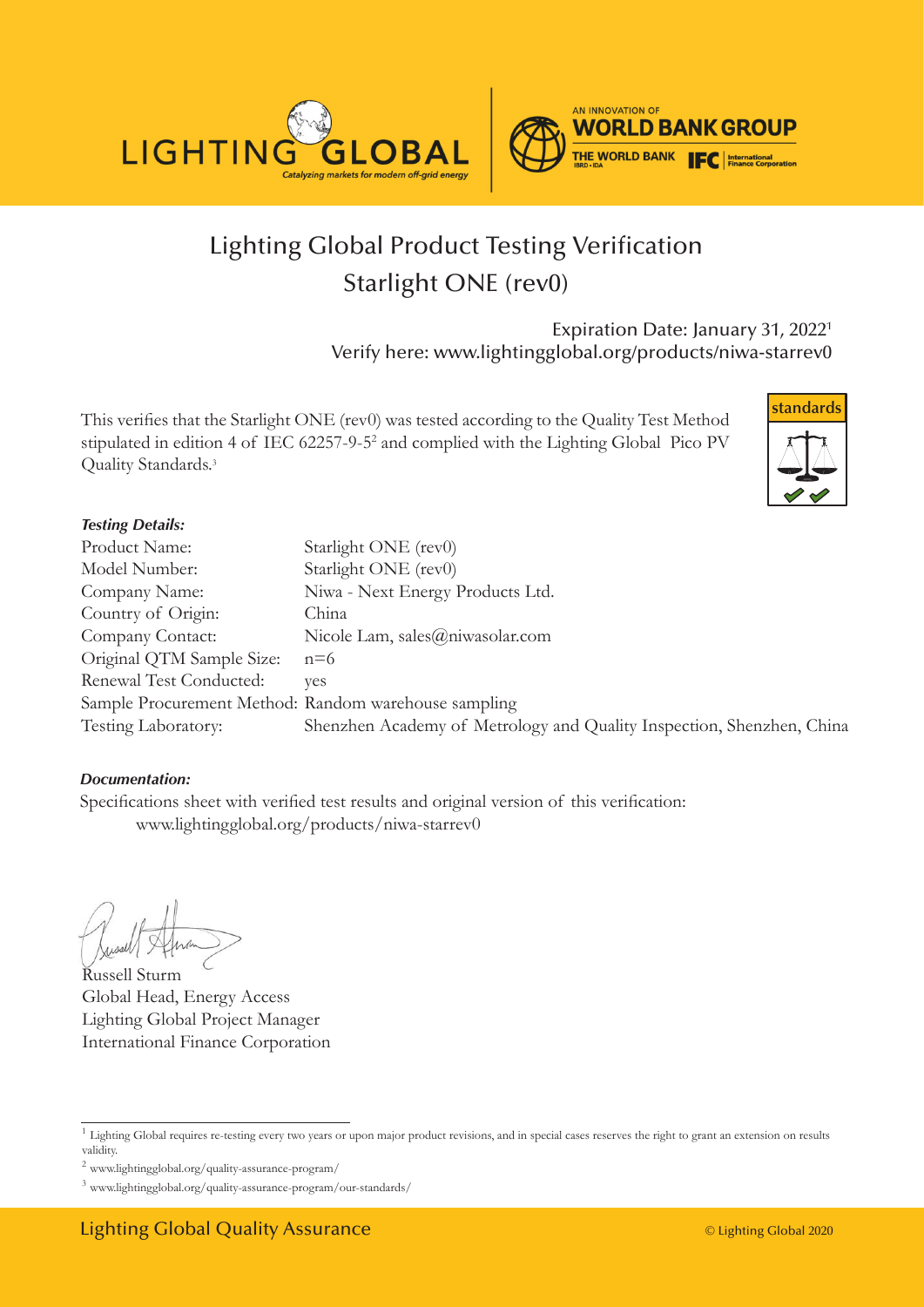



# Lighting Global Product Testing Verification Starlight ONE (rev0)

Expiration Date: January 31, 20221 Verify here: www.lightingglobal.org/products/niwa-starrev0

This verifies that the Starlight ONE (rev0) was tested according to the Quality Test Method stipulated in edition 4 of IEC 62257-9-5<sup>2</sup> and complied with the Lighting Global Pico PV Quality Standards.<sup>3</sup>



#### *Testing Details:*

| Product Name:                                        | Starlight ONE (rev0)                                                  |
|------------------------------------------------------|-----------------------------------------------------------------------|
| Model Number:                                        | Starlight ONE (rev0)                                                  |
| Company Name:                                        | Niwa - Next Energy Products Ltd.                                      |
| Country of Origin:                                   | China                                                                 |
| Company Contact:                                     | Nicole Lam, sales@niwasolar.com                                       |
| Original QTM Sample Size:                            | $n=6$                                                                 |
| Renewal Test Conducted:                              | ves                                                                   |
| Sample Procurement Method: Random warehouse sampling |                                                                       |
| Testing Laboratory:                                  | Shenzhen Academy of Metrology and Quality Inspection, Shenzhen, China |

#### *Documentation:*

Specifications sheet with verified test results and original version of this verification: www.lightingglobal.org/products/niwa-starrev0

Russell Sturm Global Head, Energy Access Lighting Global Project Manager International Finance Corporation

<sup>&</sup>lt;sup>1</sup> Lighting Global requires re-testing every two years or upon major product revisions, and in special cases reserves the right to grant an extension on results validity.

 $^2$ www.lightingglobal.org/quality-assurance-program/  $\,$ 

<sup>3</sup> www.lightingglobal.org/quality-assurance-program/our-standards/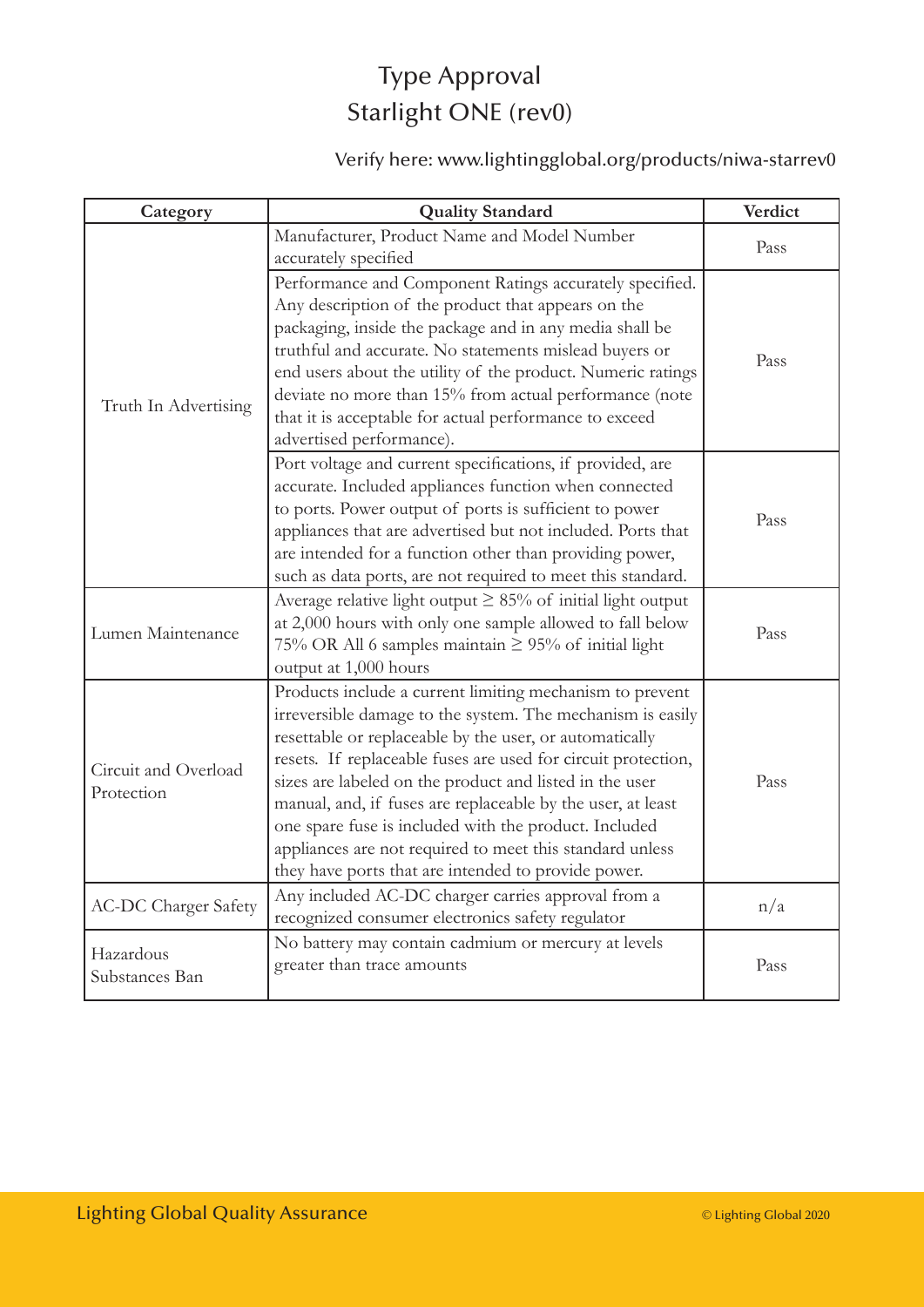## Type Approval Starlight ONE (rev0)

### Verify here: www.lightingglobal.org/products/niwa-starrev0

| Category                           | <b>Quality Standard</b>                                                                                                                                                                                                                                                                                                                                                                                                                                                                                                                                  | Verdict |
|------------------------------------|----------------------------------------------------------------------------------------------------------------------------------------------------------------------------------------------------------------------------------------------------------------------------------------------------------------------------------------------------------------------------------------------------------------------------------------------------------------------------------------------------------------------------------------------------------|---------|
| Truth In Advertising               | Manufacturer, Product Name and Model Number<br>accurately specified                                                                                                                                                                                                                                                                                                                                                                                                                                                                                      | Pass    |
|                                    | Performance and Component Ratings accurately specified.<br>Any description of the product that appears on the<br>packaging, inside the package and in any media shall be<br>truthful and accurate. No statements mislead buyers or<br>end users about the utility of the product. Numeric ratings<br>deviate no more than 15% from actual performance (note<br>that it is acceptable for actual performance to exceed<br>advertised performance).                                                                                                        | Pass    |
|                                    | Port voltage and current specifications, if provided, are<br>accurate. Included appliances function when connected<br>to ports. Power output of ports is sufficient to power<br>appliances that are advertised but not included. Ports that<br>are intended for a function other than providing power,<br>such as data ports, are not required to meet this standard.                                                                                                                                                                                    | Pass    |
| Lumen Maintenance                  | Average relative light output $\geq 85\%$ of initial light output<br>at 2,000 hours with only one sample allowed to fall below<br>75% OR All 6 samples maintain $\geq$ 95% of initial light<br>output at 1,000 hours                                                                                                                                                                                                                                                                                                                                     | Pass    |
| Circuit and Overload<br>Protection | Products include a current limiting mechanism to prevent<br>irreversible damage to the system. The mechanism is easily<br>resettable or replaceable by the user, or automatically<br>resets. If replaceable fuses are used for circuit protection,<br>sizes are labeled on the product and listed in the user<br>manual, and, if fuses are replaceable by the user, at least<br>one spare fuse is included with the product. Included<br>appliances are not required to meet this standard unless<br>they have ports that are intended to provide power. | Pass    |
| <b>AC-DC Charger Safety</b>        | Any included AC-DC charger carries approval from a<br>recognized consumer electronics safety regulator                                                                                                                                                                                                                                                                                                                                                                                                                                                   | n/a     |
| Hazardous<br>Substances Ban        | No battery may contain cadmium or mercury at levels<br>greater than trace amounts                                                                                                                                                                                                                                                                                                                                                                                                                                                                        | Pass    |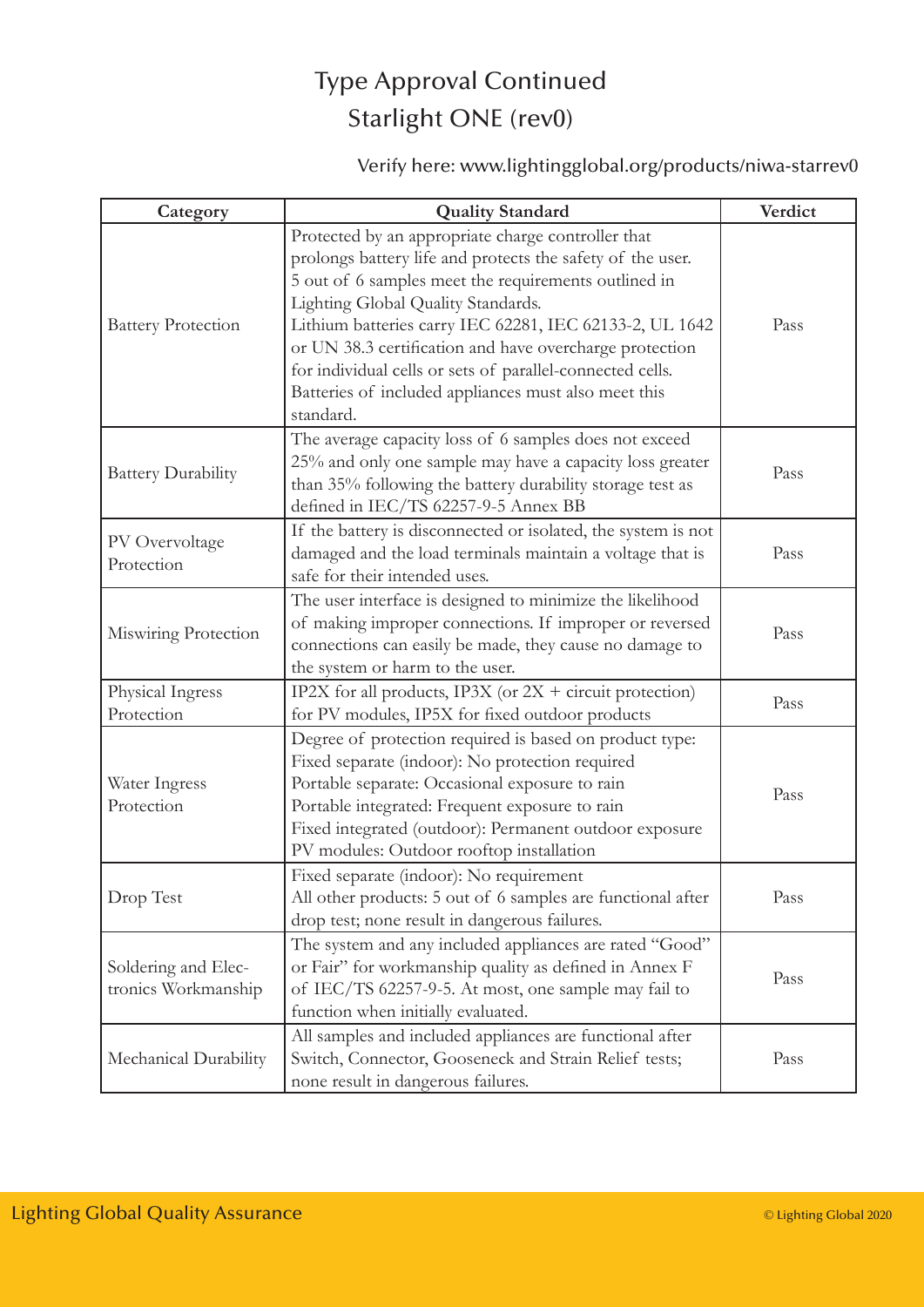## Type Approval Continued Starlight ONE (rev0)

### Verify here: www.lightingglobal.org/products/niwa-starrev0

| Category                                   | <b>Quality Standard</b>                                                                                                                                                                                                                                                                                                                                                                                                                                                | Verdict |
|--------------------------------------------|------------------------------------------------------------------------------------------------------------------------------------------------------------------------------------------------------------------------------------------------------------------------------------------------------------------------------------------------------------------------------------------------------------------------------------------------------------------------|---------|
| <b>Battery Protection</b>                  | Protected by an appropriate charge controller that<br>prolongs battery life and protects the safety of the user.<br>5 out of 6 samples meet the requirements outlined in<br>Lighting Global Quality Standards.<br>Lithium batteries carry IEC 62281, IEC 62133-2, UL 1642<br>or UN 38.3 certification and have overcharge protection<br>for individual cells or sets of parallel-connected cells.<br>Batteries of included appliances must also meet this<br>standard. | Pass    |
| <b>Battery Durability</b>                  | The average capacity loss of 6 samples does not exceed<br>25% and only one sample may have a capacity loss greater<br>than 35% following the battery durability storage test as<br>defined in IEC/TS 62257-9-5 Annex BB                                                                                                                                                                                                                                                | Pass    |
| PV Overvoltage<br>Protection               | If the battery is disconnected or isolated, the system is not<br>damaged and the load terminals maintain a voltage that is<br>safe for their intended uses.                                                                                                                                                                                                                                                                                                            | Pass    |
| Miswiring Protection                       | The user interface is designed to minimize the likelihood<br>of making improper connections. If improper or reversed<br>connections can easily be made, they cause no damage to<br>the system or harm to the user.                                                                                                                                                                                                                                                     | Pass    |
| Physical Ingress<br>Protection             | IP2X for all products, IP3X (or $2X +$ circuit protection)<br>for PV modules, IP5X for fixed outdoor products                                                                                                                                                                                                                                                                                                                                                          | Pass    |
| Water Ingress<br>Protection                | Degree of protection required is based on product type:<br>Fixed separate (indoor): No protection required<br>Portable separate: Occasional exposure to rain<br>Portable integrated: Frequent exposure to rain<br>Fixed integrated (outdoor): Permanent outdoor exposure<br>PV modules: Outdoor rooftop installation                                                                                                                                                   | Pass    |
| Drop Test                                  | Fixed separate (indoor): No requirement<br>All other products: 5 out of 6 samples are functional after<br>drop test; none result in dangerous failures.                                                                                                                                                                                                                                                                                                                | Pass    |
| Soldering and Elec-<br>tronics Workmanship | The system and any included appliances are rated "Good"<br>or Fair" for workmanship quality as defined in Annex F<br>of IEC/TS 62257-9-5. At most, one sample may fail to<br>function when initially evaluated.                                                                                                                                                                                                                                                        | Pass    |
| Mechanical Durability                      | All samples and included appliances are functional after<br>Switch, Connector, Gooseneck and Strain Relief tests;<br>none result in dangerous failures.                                                                                                                                                                                                                                                                                                                | Pass    |